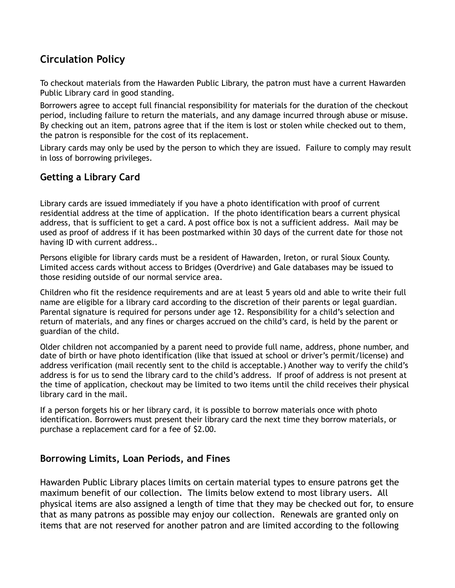# **Circulation Policy**

To checkout materials from the Hawarden Public Library, the patron must have a current Hawarden Public Library card in good standing.

Borrowers agree to accept full financial responsibility for materials for the duration of the checkout period, including failure to return the materials, and any damage incurred through abuse or misuse. By checking out an item, patrons agree that if the item is lost or stolen while checked out to them, the patron is responsible for the cost of its replacement.

Library cards may only be used by the person to which they are issued. Failure to comply may result in loss of borrowing privileges.

## **Getting a Library Card**

Library cards are issued immediately if you have a photo identification with proof of current residential address at the time of application. If the photo identification bears a current physical address, that is sufficient to get a card. A post office box is not a sufficient address. Mail may be used as proof of address if it has been postmarked within 30 days of the current date for those not having ID with current address..

Persons eligible for library cards must be a resident of Hawarden, Ireton, or rural Sioux County. Limited access cards without access to Bridges (Overdrive) and Gale databases may be issued to those residing outside of our normal service area.

Children who fit the residence requirements and are at least 5 years old and able to write their full name are eligible for a library card according to the discretion of their parents or legal guardian. Parental signature is required for persons under age 12. Responsibility for a child's selection and return of materials, and any fines or charges accrued on the child's card, is held by the parent or guardian of the child.

Older children not accompanied by a parent need to provide full name, address, phone number, and date of birth or have photo identification (like that issued at school or driver's permit/license) and address verification (mail recently sent to the child is acceptable.) Another way to verify the child's address is for us to send the library card to the child's address. If proof of address is not present at the time of application, checkout may be limited to two items until the child receives their physical library card in the mail.

If a person forgets his or her library card, it is possible to borrow materials once with photo identification. Borrowers must present their library card the next time they borrow materials, or purchase a replacement card for a fee of \$2.00.

## **Borrowing Limits, Loan Periods, and Fines**

Hawarden Public Library places limits on certain material types to ensure patrons get the maximum benefit of our collection. The limits below extend to most library users. All physical items are also assigned a length of time that they may be checked out for, to ensure that as many patrons as possible may enjoy our collection. Renewals are granted only on items that are not reserved for another patron and are limited according to the following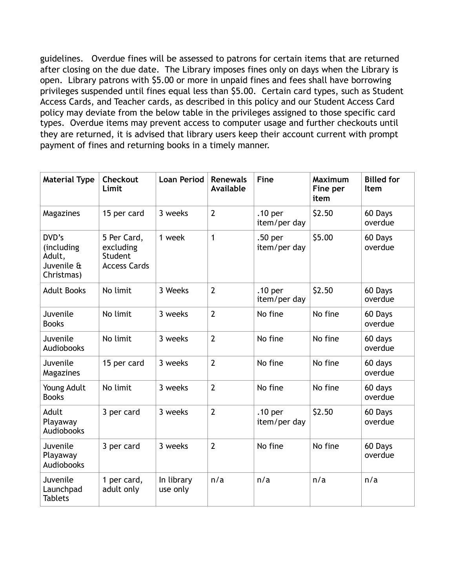guidelines. Overdue fines will be assessed to patrons for certain items that are returned after closing on the due date. The Library imposes fines only on days when the Library is open. Library patrons with \$5.00 or more in unpaid fines and fees shall have borrowing privileges suspended until fines equal less than \$5.00. Certain card types, such as Student Access Cards, and Teacher cards, as described in this policy and our Student Access Card policy may deviate from the below table in the privileges assigned to those specific card types. Overdue items may prevent access to computer usage and further checkouts until they are returned, it is advised that library users keep their account current with prompt payment of fines and returning books in a timely manner.

| <b>Material Type</b>                                      | Checkout<br>Limit                                          | <b>Loan Period</b>     | Renewals<br>Available | <b>Fine</b>                        | <b>Maximum</b><br>Fine per<br>item | <b>Billed for</b><br>Item |
|-----------------------------------------------------------|------------------------------------------------------------|------------------------|-----------------------|------------------------------------|------------------------------------|---------------------------|
| Magazines                                                 | 15 per card                                                | 3 weeks                | $\overline{2}$        | .10 <sub>per</sub><br>item/per day | \$2.50                             | 60 Days<br>overdue        |
| DVD's<br>(including<br>Adult,<br>Juvenile &<br>Christmas) | 5 Per Card,<br>excluding<br>Student<br><b>Access Cards</b> | 1 week                 | $\mathbf{1}$          | .50 per<br>item/per day            | \$5.00                             | 60 Days<br>overdue        |
| <b>Adult Books</b>                                        | No limit                                                   | 3 Weeks                | $\overline{2}$        | .10 <sub>per</sub><br>item/per day | \$2.50                             | 60 Days<br>overdue        |
| Juvenile<br><b>Books</b>                                  | No limit                                                   | 3 weeks                | $\overline{2}$        | No fine                            | No fine                            | 60 Days<br>overdue        |
| Juvenile<br><b>Audiobooks</b>                             | No limit                                                   | 3 weeks                | $\overline{2}$        | No fine                            | No fine                            | 60 days<br>overdue        |
| Juvenile<br>Magazines                                     | 15 per card                                                | 3 weeks                | $\overline{2}$        | No fine                            | No fine                            | 60 days<br>overdue        |
| Young Adult<br><b>Books</b>                               | No limit                                                   | 3 weeks                | $\overline{2}$        | No fine                            | No fine                            | 60 days<br>overdue        |
| Adult<br>Playaway<br><b>Audiobooks</b>                    | 3 per card                                                 | 3 weeks                | $\overline{2}$        | .10 <sub>per</sub><br>item/per day | \$2.50                             | 60 Days<br>overdue        |
| Juvenile<br>Playaway<br>Audiobooks                        | 3 per card                                                 | 3 weeks                | $\overline{2}$        | No fine                            | No fine                            | 60 Days<br>overdue        |
| Juvenile<br>Launchpad<br><b>Tablets</b>                   | 1 per card,<br>adult only                                  | In library<br>use only | n/a                   | n/a                                | n/a                                | n/a                       |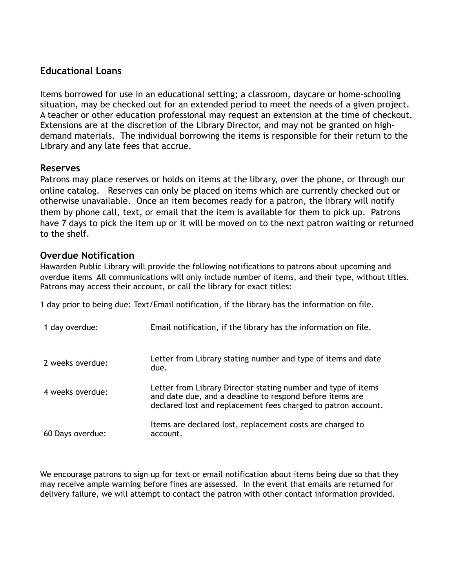## **Educational Loans**

Items borrowed for use in an educational setting; a classroom, daycare or home-schooling situation, may be checked out for an extended period to meet the needs of a given project. A teacher or other education professional may request an extension at the time of checkout. Extensions are at the discretion of the Library Director, and may not be granted on highdemand materials. The individual borrowing the items is responsible for their return to the Library and any late fees that accrue.

#### **Reserves**

Patrons may place reserves or holds on items at the library, over the phone, or through our online catalog. Reserves can only be placed on items which are currently checked out or otherwise unavailable. Once an item becomes ready for a patron, the library will notify them by phone call, text, or email that the item is available for them to pick up. Patrons have 7 days to pick the item up or it will be moved on to the next patron waiting or returned to the shelf.

#### **Overdue Notification**

Hawarden Public Library will provide the following notifications to patrons about upcoming and overdue items All communications will only include number of items, and their type, without titles. Patrons may access their account, or call the library for exact titles:

1 day prior to being due: Text/Email notification, if the library has the information on file.

| 1 day overdue:   | Email notification, if the library has the information on file.                                                                                                                            |
|------------------|--------------------------------------------------------------------------------------------------------------------------------------------------------------------------------------------|
| 2 weeks overdue: | Letter from Library stating number and type of items and date<br>due.                                                                                                                      |
| 4 weeks overdue: | Letter from Library Director stating number and type of items<br>and date due, and a deadline to respond before items are<br>declared lost and replacement fees charged to patron account. |
| 60 Days overdue: | Items are declared lost, replacement costs are charged to<br>account.                                                                                                                      |

We encourage patrons to sign up for text or email notification about items being due so that they may receive ample warning before fines are assessed. In the event that emails are returned for delivery failure, we will attempt to contact the patron with other contact information provided.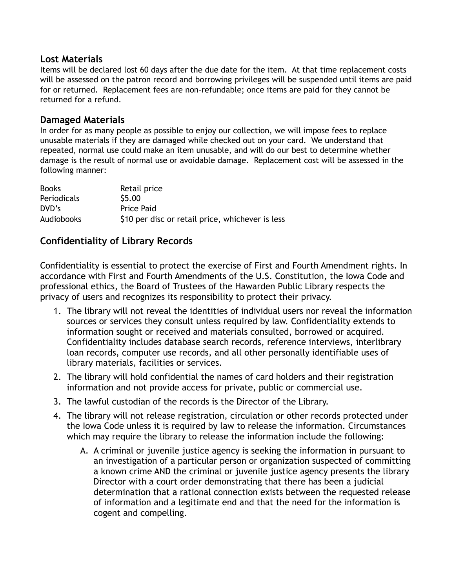#### **Lost Materials**

Items will be declared lost 60 days after the due date for the item. At that time replacement costs will be assessed on the patron record and borrowing privileges will be suspended until items are paid for or returned. Replacement fees are non-refundable; once items are paid for they cannot be returned for a refund.

#### **Damaged Materials**

In order for as many people as possible to enjoy our collection, we will impose fees to replace unusable materials if they are damaged while checked out on your card. We understand that repeated, normal use could make an item unusable, and will do our best to determine whether damage is the result of normal use or avoidable damage. Replacement cost will be assessed in the following manner:

| <b>Books</b>      | Retail price                                     |
|-------------------|--------------------------------------------------|
| Periodicals       | S5.00                                            |
| DVD's             | Price Paid                                       |
| <b>Audiobooks</b> | \$10 per disc or retail price, whichever is less |

### **Confidentiality of Library Records**

Confidentiality is essential to protect the exercise of First and Fourth Amendment rights. In accordance with First and Fourth Amendments of the U.S. Constitution, the Iowa Code and professional ethics, the Board of Trustees of the Hawarden Public Library respects the privacy of users and recognizes its responsibility to protect their privacy.

- 1. The library will not reveal the identities of individual users nor reveal the information sources or services they consult unless required by law. Confidentiality extends to information sought or received and materials consulted, borrowed or acquired. Confidentiality includes database search records, reference interviews, interlibrary loan records, computer use records, and all other personally identifiable uses of library materials, facilities or services.
- 2. The library will hold confidential the names of card holders and their registration information and not provide access for private, public or commercial use.
- 3. The lawful custodian of the records is the Director of the Library.
- 4. The library will not release registration, circulation or other records protected under the Iowa Code unless it is required by law to release the information. Circumstances which may require the library to release the information include the following:
	- A. A criminal or juvenile justice agency is seeking the information in pursuant to an investigation of a particular person or organization suspected of committing a known crime AND the criminal or juvenile justice agency presents the library Director with a court order demonstrating that there has been a judicial determination that a rational connection exists between the requested release of information and a legitimate end and that the need for the information is cogent and compelling.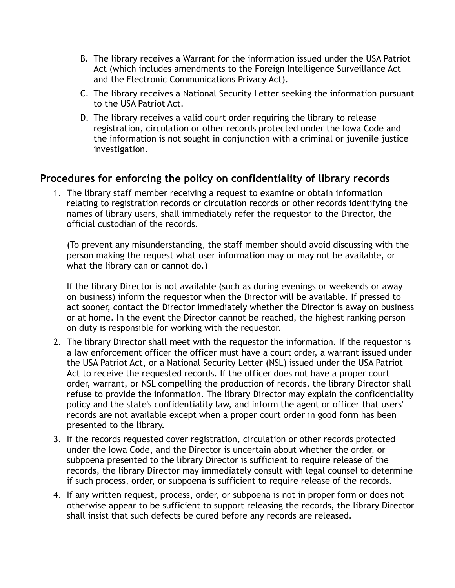- B. The library receives a Warrant for the information issued under the USA Patriot Act (which includes amendments to the Foreign Intelligence Surveillance Act and the Electronic Communications Privacy Act).
- C. The library receives a National Security Letter seeking the information pursuant to the USA Patriot Act.
- D. The library receives a valid court order requiring the library to release registration, circulation or other records protected under the Iowa Code and the information is not sought in conjunction with a criminal or juvenile justice investigation.

## **Procedures for enforcing the policy on confidentiality of library records**

1. The library staff member receiving a request to examine or obtain information relating to registration records or circulation records or other records identifying the names of library users, shall immediately refer the requestor to the Director, the official custodian of the records.

(To prevent any misunderstanding, the staff member should avoid discussing with the person making the request what user information may or may not be available, or what the library can or cannot do.)

If the library Director is not available (such as during evenings or weekends or away on business) inform the requestor when the Director will be available. If pressed to act sooner, contact the Director immediately whether the Director is away on business or at home. In the event the Director cannot be reached, the highest ranking person on duty is responsible for working with the requestor.

- 2. The library Director shall meet with the requestor the information. If the requestor is a law enforcement officer the officer must have a court order, a warrant issued under the USA Patriot Act, or a National Security Letter (NSL) issued under the USA Patriot Act to receive the requested records. If the officer does not have a proper court order, warrant, or NSL compelling the production of records, the library Director shall refuse to provide the information. The library Director may explain the confidentiality policy and the state's confidentiality law, and inform the agent or officer that users' records are not available except when a proper court order in good form has been presented to the library.
- 3. If the records requested cover registration, circulation or other records protected under the Iowa Code, and the Director is uncertain about whether the order, or subpoena presented to the library Director is sufficient to require release of the records, the library Director may immediately consult with legal counsel to determine if such process, order, or subpoena is sufficient to require release of the records.
- 4. If any written request, process, order, or subpoena is not in proper form or does not otherwise appear to be sufficient to support releasing the records, the library Director shall insist that such defects be cured before any records are released.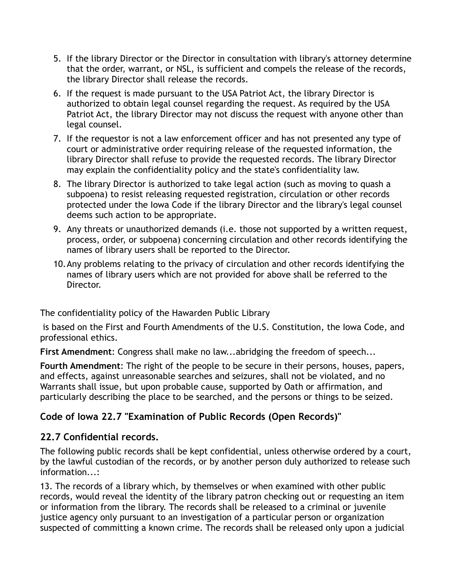- 5. If the library Director or the Director in consultation with library's attorney determine that the order, warrant, or NSL, is sufficient and compels the release of the records, the library Director shall release the records.
- 6. If the request is made pursuant to the USA Patriot Act, the library Director is authorized to obtain legal counsel regarding the request. As required by the USA Patriot Act, the library Director may not discuss the request with anyone other than legal counsel.
- 7. If the requestor is not a law enforcement officer and has not presented any type of court or administrative order requiring release of the requested information, the library Director shall refuse to provide the requested records. The library Director may explain the confidentiality policy and the state's confidentiality law.
- 8. The library Director is authorized to take legal action (such as moving to quash a subpoena) to resist releasing requested registration, circulation or other records protected under the Iowa Code if the library Director and the library's legal counsel deems such action to be appropriate.
- 9. Any threats or unauthorized demands (i.e. those not supported by a written request, process, order, or subpoena) concerning circulation and other records identifying the names of library users shall be reported to the Director.
- 10.Any problems relating to the privacy of circulation and other records identifying the names of library users which are not provided for above shall be referred to the Director.

The confidentiality policy of the Hawarden Public Library

 is based on the First and Fourth Amendments of the U.S. Constitution, the Iowa Code, and professional ethics.

**First Amendment**: Congress shall make no law...abridging the freedom of speech...

**Fourth Amendment**: The right of the people to be secure in their persons, houses, papers, and effects, against unreasonable searches and seizures, shall not be violated, and no Warrants shall issue, but upon probable cause, supported by Oath or affirmation, and particularly describing the place to be searched, and the persons or things to be seized.

# **Code of Iowa 22.7 "Examination of Public Records (Open Records)"**

## **22.7 Confidential records.**

The following public records shall be kept confidential, unless otherwise ordered by a court, by the lawful custodian of the records, or by another person duly authorized to release such information...:

13. The records of a library which, by themselves or when examined with other public records, would reveal the identity of the library patron checking out or requesting an item or information from the library. The records shall be released to a criminal or juvenile justice agency only pursuant to an investigation of a particular person or organization suspected of committing a known crime. The records shall be released only upon a judicial